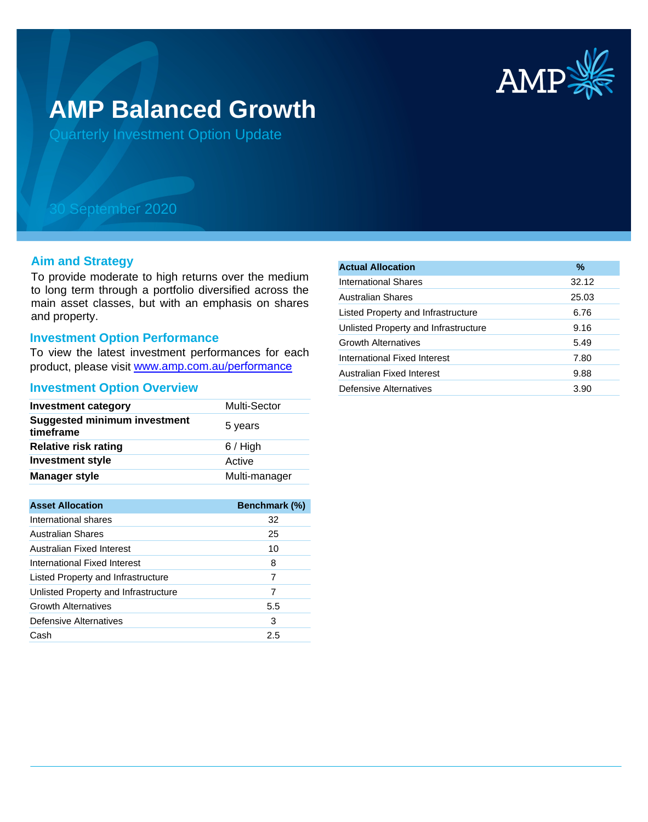

# **AMP Balanced Growth**

Quarterly Investment Option Update

## 30 September 2020

#### **Aim and Strategy**

To provide moderate to high returns over the medium to long term through a portfolio diversified across the main asset classes, but with an emphasis on shares and property.

#### **Investment Option Performance**

To view the latest investment performances for each product, please visit www.amp.com.au/performance

#### **Investment Option Overview**

| <b>Investment category</b>                       | Multi-Sector  |
|--------------------------------------------------|---------------|
| <b>Suggested minimum investment</b><br>timeframe | 5 years       |
| <b>Relative risk rating</b>                      | $6/$ High     |
| <b>Investment style</b>                          | Active        |
| <b>Manager style</b>                             | Multi-manager |
|                                                  |               |

| <b>Asset Allocation</b>              | <b>Benchmark (%)</b> |
|--------------------------------------|----------------------|
| International shares                 | 32                   |
| Australian Shares                    | 25                   |
| Australian Fixed Interest            | 10                   |
| International Fixed Interest         | 8                    |
| Listed Property and Infrastructure   | 7                    |
| Unlisted Property and Infrastructure | 7                    |
| <b>Growth Alternatives</b>           | 5.5                  |
| Defensive Alternatives               | 3                    |
| Cash                                 | 2.5                  |

| <b>Actual Allocation</b>             | %     |
|--------------------------------------|-------|
| International Shares                 | 32.12 |
| Australian Shares                    | 25.03 |
| Listed Property and Infrastructure   | 6.76  |
| Unlisted Property and Infrastructure | 9.16  |
| <b>Growth Alternatives</b>           | 5.49  |
| International Fixed Interest         | 7.80  |
| Australian Fixed Interest            | 9.88  |
| Defensive Alternatives               | 3.90  |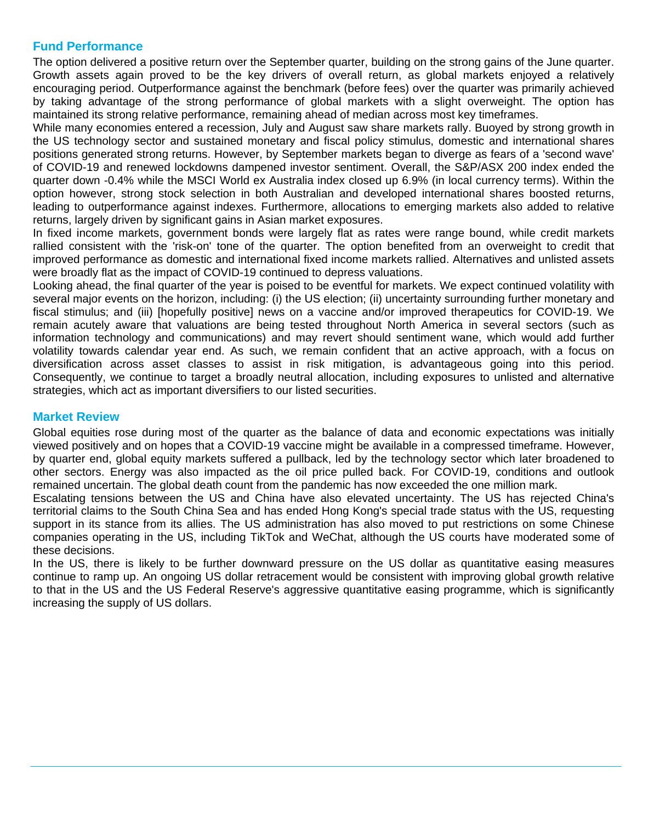### **Fund Performance**

The option delivered a positive return over the September quarter, building on the strong gains of the June quarter. Growth assets again proved to be the key drivers of overall return, as global markets enjoyed a relatively encouraging period. Outperformance against the benchmark (before fees) over the quarter was primarily achieved by taking advantage of the strong performance of global markets with a slight overweight. The option has maintained its strong relative performance, remaining ahead of median across most key timeframes.

While many economies entered a recession, July and August saw share markets rally. Buoyed by strong growth in the US technology sector and sustained monetary and fiscal policy stimulus, domestic and international shares positions generated strong returns. However, by September markets began to diverge as fears of a 'second wave' of COVID-19 and renewed lockdowns dampened investor sentiment. Overall, the S&P/ASX 200 index ended the quarter down -0.4% while the MSCI World ex Australia index closed up 6.9% (in local currency terms). Within the option however, strong stock selection in both Australian and developed international shares boosted returns, leading to outperformance against indexes. Furthermore, allocations to emerging markets also added to relative returns, largely driven by significant gains in Asian market exposures.

In fixed income markets, government bonds were largely flat as rates were range bound, while credit markets rallied consistent with the 'risk-on' tone of the quarter. The option benefited from an overweight to credit that improved performance as domestic and international fixed income markets rallied. Alternatives and unlisted assets were broadly flat as the impact of COVID-19 continued to depress valuations.

Looking ahead, the final quarter of the year is poised to be eventful for markets. We expect continued volatility with several major events on the horizon, including: (i) the US election; (ii) uncertainty surrounding further monetary and fiscal stimulus; and (iii) [hopefully positive] news on a vaccine and/or improved therapeutics for COVID-19. We remain acutely aware that valuations are being tested throughout North America in several sectors (such as information technology and communications) and may revert should sentiment wane, which would add further volatility towards calendar year end. As such, we remain confident that an active approach, with a focus on diversification across asset classes to assist in risk mitigation, is advantageous going into this period. Consequently, we continue to target a broadly neutral allocation, including exposures to unlisted and alternative strategies, which act as important diversifiers to our listed securities.

#### **Market Review**

Global equities rose during most of the quarter as the balance of data and economic expectations was initially viewed positively and on hopes that a COVID-19 vaccine might be available in a compressed timeframe. However, by quarter end, global equity markets suffered a pullback, led by the technology sector which later broadened to other sectors. Energy was also impacted as the oil price pulled back. For COVID-19, conditions and outlook remained uncertain. The global death count from the pandemic has now exceeded the one million mark.

Escalating tensions between the US and China have also elevated uncertainty. The US has rejected China's territorial claims to the South China Sea and has ended Hong Kong's special trade status with the US, requesting support in its stance from its allies. The US administration has also moved to put restrictions on some Chinese companies operating in the US, including TikTok and WeChat, although the US courts have moderated some of these decisions.

In the US, there is likely to be further downward pressure on the US dollar as quantitative easing measures continue to ramp up. An ongoing US dollar retracement would be consistent with improving global growth relative to that in the US and the US Federal Reserve's aggressive quantitative easing programme, which is significantly increasing the supply of US dollars.